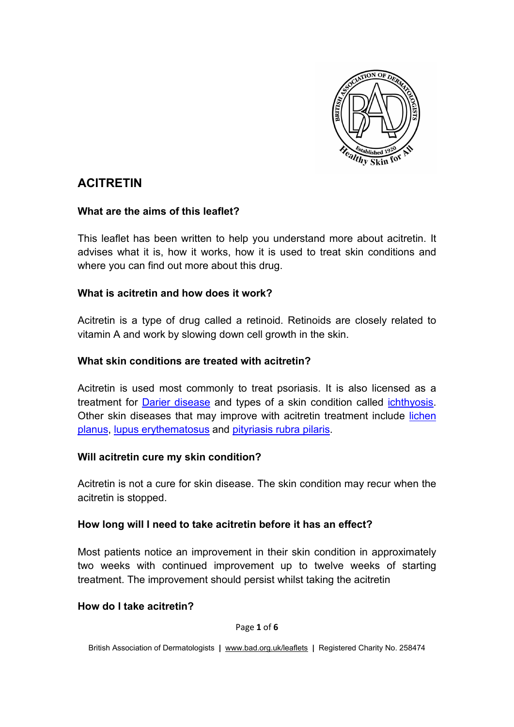

# **ACITRETIN**

#### **What are the aims of this leaflet?**

This leaflet has been written to help you understand more about acitretin. It advises what it is, how it works, how it is used to treat skin conditions and where you can find out more about this drug.

## **What is acitretin and how does it work?**

Acitretin is a type of drug called a retinoid. Retinoids are closely related to vitamin A and work by slowing down cell growth in the skin.

#### **What skin conditions are treated with acitretin?**

Acitretin is used most commonly to treat psoriasis. It is also licensed as a treatment for Darier [disease](http://www.bad.org.uk/for-the-public/patient-information-leaflets/dariers-disease) and types of a skin condition called [ichthyosis.](http://www.bad.org.uk/for-the-public/patient-information-leaflets/ichthyosis) Other skin diseases that may improve with acitretin treatment include [lichen](http://www.bad.org.uk/for-the-public/patient-information-leaflets/lichen-planus)  [planus,](http://www.bad.org.uk/for-the-public/patient-information-leaflets/lichen-planus) [lupus erythematosus](http://www.bad.org.uk/for-the-public/patient-information-leaflets/subacute-lupus-erythematosus) and [pityriasis rubra pilaris.](http://www.bad.org.uk/for-the-public/patient-information-leaflets/pityriasis-rubra-pilaris)

#### **Will acitretin cure my skin condition?**

Acitretin is not a cure for skin disease. The skin condition may recur when the acitretin is stopped.

#### **How long will I need to take acitretin before it has an effect?**

Most patients notice an improvement in their skin condition in approximately two weeks with continued improvement up to twelve weeks of starting treatment. The improvement should persist whilst taking the acitretin

#### **How do I take acitretin?**

Page **1** of **6**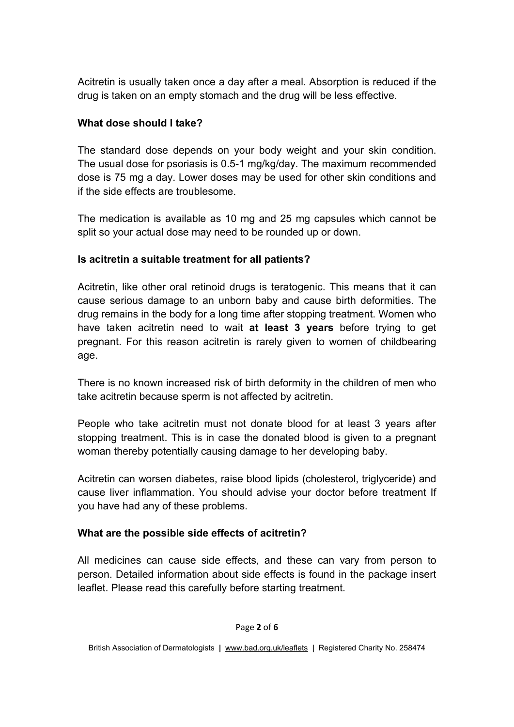Acitretin is usually taken once a day after a meal. Absorption is reduced if the drug is taken on an empty stomach and the drug will be less effective.

## **What dose should I take?**

The standard dose depends on your body weight and your skin condition. The usual dose for psoriasis is 0.5-1 mg/kg/day. The maximum recommended dose is 75 mg a day. Lower doses may be used for other skin conditions and if the side effects are troublesome.

The medication is available as 10 mg and 25 mg capsules which cannot be split so your actual dose may need to be rounded up or down.

#### **Is acitretin a suitable treatment for all patients?**

Acitretin, like other oral retinoid drugs is teratogenic. This means that it can cause serious damage to an unborn baby and cause birth deformities. The drug remains in the body for a long time after stopping treatment. Women who have taken acitretin need to wait **at least 3 years** before trying to get pregnant. For this reason acitretin is rarely given to women of childbearing age.

There is no known increased risk of birth deformity in the children of men who take acitretin because sperm is not affected by acitretin.

People who take acitretin must not donate blood for at least 3 years after stopping treatment. This is in case the donated blood is given to a pregnant woman thereby potentially causing damage to her developing baby.

Acitretin can worsen diabetes, raise blood lipids (cholesterol, triglyceride) and cause liver inflammation. You should advise your doctor before treatment If you have had any of these problems.

## **What are the possible side effects of acitretin?**

All medicines can cause side effects, and these can vary from person to person. Detailed information about side effects is found in the package insert leaflet. Please read this carefully before starting treatment.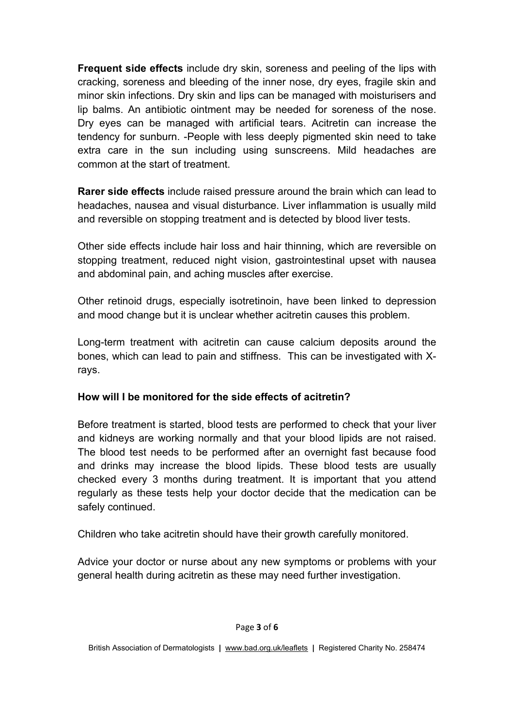**Frequent side effects** include dry skin, soreness and peeling of the lips with cracking, soreness and bleeding of the inner nose, dry eyes, fragile skin and minor skin infections. Dry skin and lips can be managed with moisturisers and lip balms. An antibiotic ointment may be needed for soreness of the nose. Dry eyes can be managed with artificial tears. Acitretin can increase the tendency for sunburn. -People with less deeply pigmented skin need to take extra care in the sun including using sunscreens. Mild headaches are common at the start of treatment.

**Rarer side effects** include raised pressure around the brain which can lead to headaches, nausea and visual disturbance. Liver inflammation is usually mild and reversible on stopping treatment and is detected by blood liver tests.

Other side effects include hair loss and hair thinning, which are reversible on stopping treatment, reduced night vision, gastrointestinal upset with nausea and abdominal pain, and aching muscles after exercise.

Other retinoid drugs, especially isotretinoin, have been linked to depression and mood change but it is unclear whether acitretin causes this problem.

Long-term treatment with acitretin can cause calcium deposits around the bones, which can lead to pain and stiffness. This can be investigated with Xrays.

## **How will I be monitored for the side effects of acitretin?**

Before treatment is started, blood tests are performed to check that your liver and kidneys are working normally and that your blood lipids are not raised. The blood test needs to be performed after an overnight fast because food and drinks may increase the blood lipids. These blood tests are usually checked every 3 months during treatment. It is important that you attend regularly as these tests help your doctor decide that the medication can be safely continued.

Children who take acitretin should have their growth carefully monitored.

Advice your doctor or nurse about any new symptoms or problems with your general health during acitretin as these may need further investigation.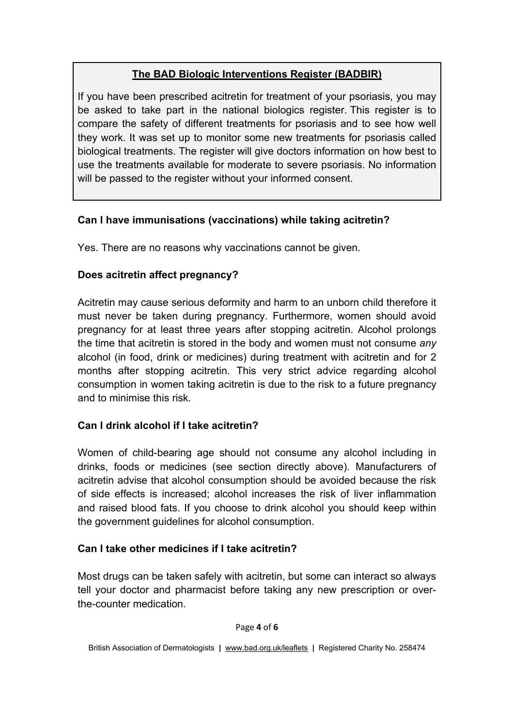# **The BAD Biologic Interventions Register (BADBIR)**

If you have been prescribed acitretin for treatment of your psoriasis, you may be asked to take part in the national biologics register. This register is to compare the safety of different treatments for psoriasis and to see how well they work. It was set up to monitor some new treatments for psoriasis called biological treatments. The register will give doctors information on how best to use the treatments available for moderate to severe psoriasis. No information will be passed to the register without your informed consent.

# **Can I have immunisations (vaccinations) while taking acitretin?**

Yes. There are no reasons why vaccinations cannot be given.

# **Does acitretin affect pregnancy?**

Acitretin may cause serious deformity and harm to an unborn child therefore it must never be taken during pregnancy. Furthermore, women should avoid pregnancy for at least three years after stopping acitretin. Alcohol prolongs the time that acitretin is stored in the body and women must not consume *any* alcohol (in food, drink or medicines) during treatment with acitretin and for 2 months after stopping acitretin. This very strict advice regarding alcohol consumption in women taking acitretin is due to the risk to a future pregnancy and to minimise this risk.

## **Can I drink alcohol if I take acitretin?**

Women of child-bearing age should not consume any alcohol including in drinks, foods or medicines (see section directly above). Manufacturers of acitretin advise that alcohol consumption should be avoided because the risk of side effects is increased; alcohol increases the risk of liver inflammation and raised blood fats. If you choose to drink alcohol you should keep within the government guidelines for alcohol consumption.

## **Can I take other medicines if I take acitretin?**

Most drugs can be taken safely with acitretin, but some can interact so always tell your doctor and pharmacist before taking any new prescription or overthe-counter medication.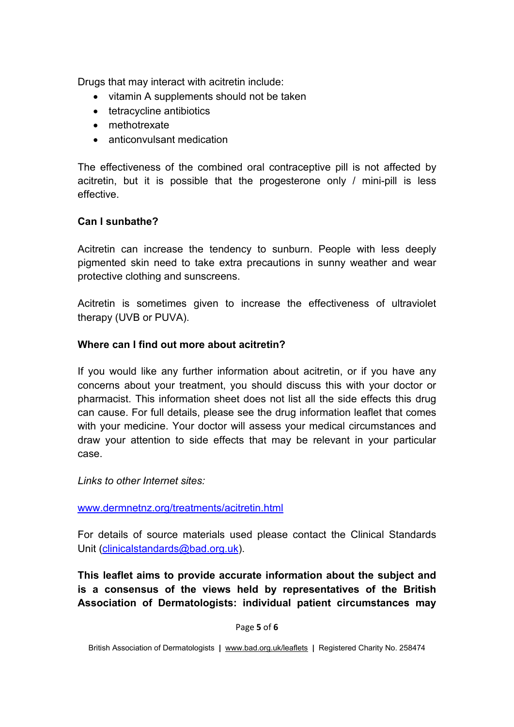Drugs that may interact with acitretin include:

- vitamin A supplements should not be taken
- tetracycline antibiotics
- methotrexate
- anticonvulsant medication

The effectiveness of the combined oral contraceptive pill is not affected by acitretin, but it is possible that the progesterone only / mini-pill is less effective.

## **Can I sunbathe?**

Acitretin can increase the tendency to sunburn. People with less deeply pigmented skin need to take extra precautions in sunny weather and wear protective clothing and sunscreens.

Acitretin is sometimes given to increase the effectiveness of ultraviolet therapy (UVB or PUVA).

## **Where can I find out more about acitretin?**

If you would like any further information about acitretin, or if you have any concerns about your treatment, you should discuss this with your doctor or pharmacist. This information sheet does not list all the side effects this drug can cause. For full details, please see the drug information leaflet that comes with your medicine. Your doctor will assess your medical circumstances and draw your attention to side effects that may be relevant in your particular case.

*Links to other Internet sites:*

[www.dermnetnz.org/treatments/acitretin.html](http://www.dermnetnz.org/treatments/acitretin.html)

For details of source materials used please contact the Clinical Standards Unit [\(clinicalstandards@bad.org.uk\)](mailto:clinicalstandards@bad.org.uk).

**This leaflet aims to provide accurate information about the subject and is a consensus of the views held by representatives of the British Association of Dermatologists: individual patient circumstances may** 

Page **5** of **6**